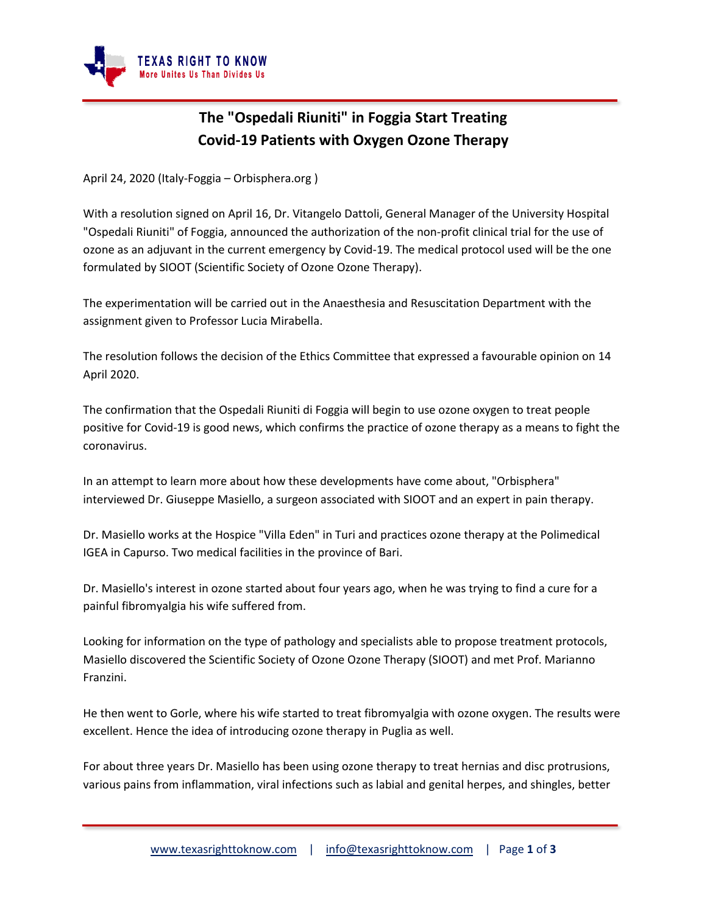

## **The "Ospedali Riuniti" in Foggia Start Treating Covid-19 Patients with Oxygen Ozone Therapy**

April 24, 2020 (Italy-Foggia – Orbisphera.org )

With a resolution signed on April 16, Dr. Vitangelo Dattoli, General Manager of the University Hospital "Ospedali Riuniti" of Foggia, announced the authorization of the non-profit clinical trial for the use of ozone as an adjuvant in the current emergency by Covid-19. The medical protocol used will be the one formulated by SIOOT (Scientific Society of Ozone Ozone Therapy).

The experimentation will be carried out in the Anaesthesia and Resuscitation Department with the assignment given to Professor Lucia Mirabella.

The resolution follows the decision of the Ethics Committee that expressed a favourable opinion on 14 April 2020.

The confirmation that the Ospedali Riuniti di Foggia will begin to use ozone oxygen to treat people positive for Covid-19 is good news, which confirms the practice of ozone therapy as a means to fight the coronavirus.

In an attempt to learn more about how these developments have come about, "Orbisphera" interviewed Dr. Giuseppe Masiello, a surgeon associated with SIOOT and an expert in pain therapy.

Dr. Masiello works at the Hospice "Villa Eden" in Turi and practices ozone therapy at the Polimedical IGEA in Capurso. Two medical facilities in the province of Bari.

Dr. Masiello's interest in ozone started about four years ago, when he was trying to find a cure for a painful fibromyalgia his wife suffered from.

Looking for information on the type of pathology and specialists able to propose treatment protocols, Masiello discovered the Scientific Society of Ozone Ozone Therapy (SIOOT) and met Prof. Marianno Franzini.

He then went to Gorle, where his wife started to treat fibromyalgia with ozone oxygen. The results were excellent. Hence the idea of introducing ozone therapy in Puglia as well.

For about three years Dr. Masiello has been using ozone therapy to treat hernias and disc protrusions, various pains from inflammation, viral infections such as labial and genital herpes, and shingles, better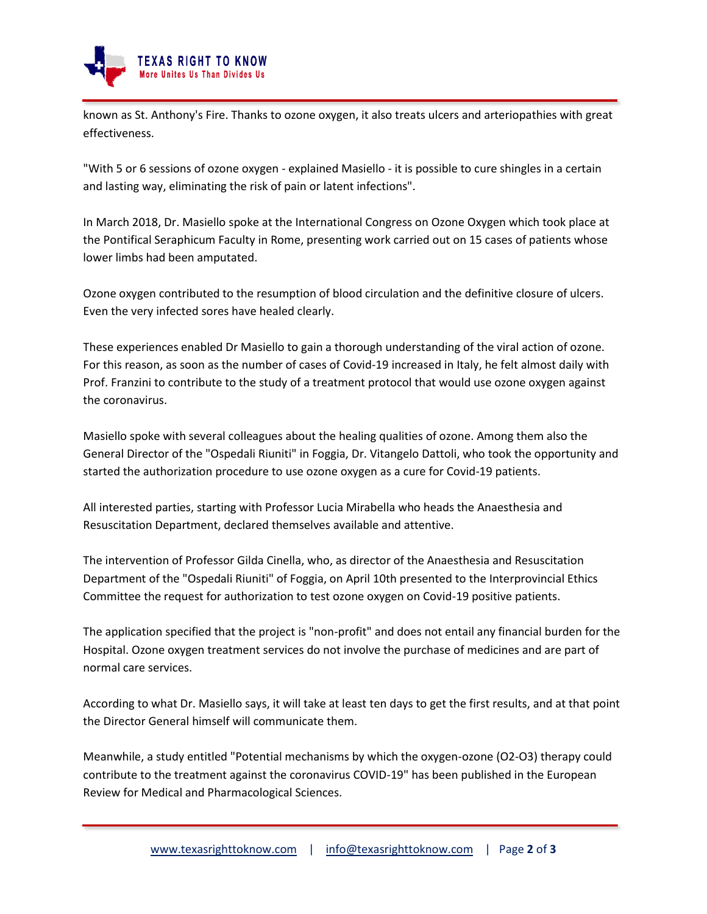

known as St. Anthony's Fire. Thanks to ozone oxygen, it also treats ulcers and arteriopathies with great effectiveness.

"With 5 or 6 sessions of ozone oxygen - explained Masiello - it is possible to cure shingles in a certain and lasting way, eliminating the risk of pain or latent infections".

In March 2018, Dr. Masiello spoke at the International Congress on Ozone Oxygen which took place at the Pontifical Seraphicum Faculty in Rome, presenting work carried out on 15 cases of patients whose lower limbs had been amputated.

Ozone oxygen contributed to the resumption of blood circulation and the definitive closure of ulcers. Even the very infected sores have healed clearly.

These experiences enabled Dr Masiello to gain a thorough understanding of the viral action of ozone. For this reason, as soon as the number of cases of Covid-19 increased in Italy, he felt almost daily with Prof. Franzini to contribute to the study of a treatment protocol that would use ozone oxygen against the coronavirus.

Masiello spoke with several colleagues about the healing qualities of ozone. Among them also the General Director of the "Ospedali Riuniti" in Foggia, Dr. Vitangelo Dattoli, who took the opportunity and started the authorization procedure to use ozone oxygen as a cure for Covid-19 patients.

All interested parties, starting with Professor Lucia Mirabella who heads the Anaesthesia and Resuscitation Department, declared themselves available and attentive.

The intervention of Professor Gilda Cinella, who, as director of the Anaesthesia and Resuscitation Department of the "Ospedali Riuniti" of Foggia, on April 10th presented to the Interprovincial Ethics Committee the request for authorization to test ozone oxygen on Covid-19 positive patients.

The application specified that the project is "non-profit" and does not entail any financial burden for the Hospital. Ozone oxygen treatment services do not involve the purchase of medicines and are part of normal care services.

According to what Dr. Masiello says, it will take at least ten days to get the first results, and at that point the Director General himself will communicate them.

Meanwhile, a study entitled "Potential mechanisms by which the oxygen-ozone (O2-O3) therapy could contribute to the treatment against the coronavirus COVID-19" has been published in the European Review for Medical and Pharmacological Sciences.